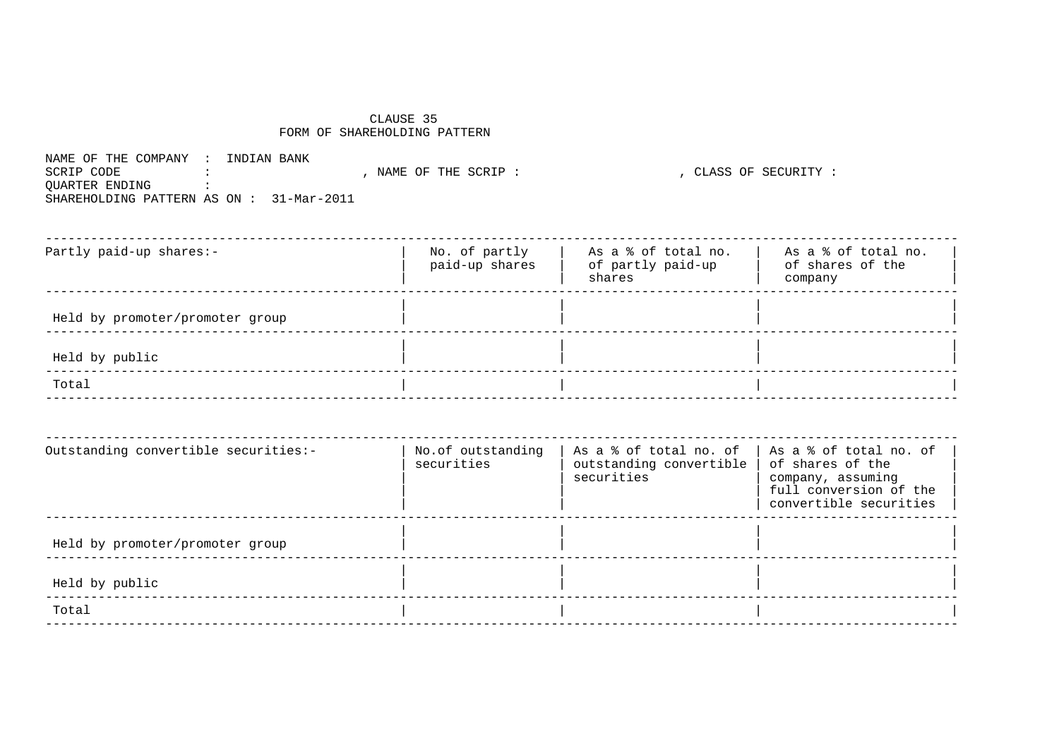## CLAUSE 35 FORM OF SHAREHOLDING PATTERN

NAME OF THE COMPANY : INDIAN BANK SCRIP CODE :<br>QUARTER ENDING :<br>QUARTER ENDING : SHAREHOLDING PATTERN AS ON : 31-Mar-2011

| Partly paid-up shares:-         | No. of partly<br>paid-up shares | As a % of total no.<br>of partly paid-up<br>shares | As a % of total no.<br>of shares of the<br>company |
|---------------------------------|---------------------------------|----------------------------------------------------|----------------------------------------------------|
| Held by promoter/promoter group |                                 |                                                    |                                                    |
| Held by public                  |                                 |                                                    |                                                    |
| Total                           |                                 |                                                    |                                                    |

| Outstanding convertible securities:- | No.of outstanding<br>securities | As a % of total no. of<br>outstanding convertible<br>securities | As a % of total no. of<br>of shares of the<br>company, assuming<br>full conversion of the<br>convertible securities |
|--------------------------------------|---------------------------------|-----------------------------------------------------------------|---------------------------------------------------------------------------------------------------------------------|
| Held by promoter/promoter group      |                                 |                                                                 |                                                                                                                     |
| Held by public                       |                                 |                                                                 |                                                                                                                     |
| Total                                |                                 |                                                                 |                                                                                                                     |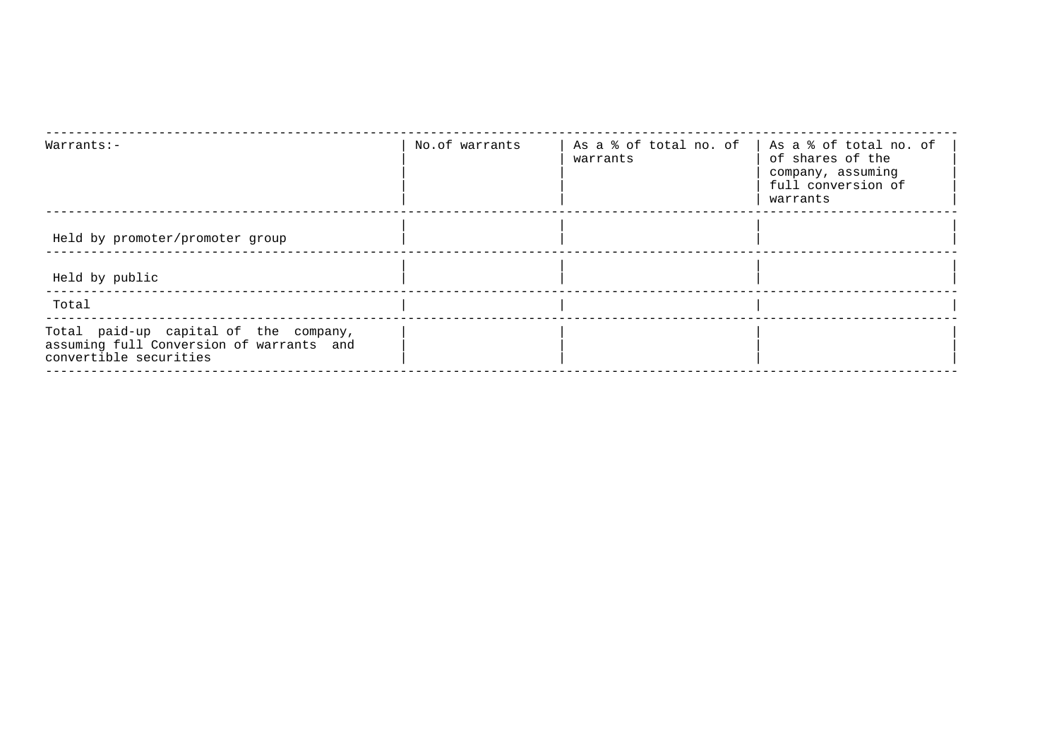| Warrants:-                                                                                                  | No.of warrants | As a % of total no. of<br>warrants | As a % of total no. of<br>of shares of the<br>company, assuming<br>full conversion of<br>warrants |
|-------------------------------------------------------------------------------------------------------------|----------------|------------------------------------|---------------------------------------------------------------------------------------------------|
| Held by promoter/promoter group                                                                             |                |                                    |                                                                                                   |
| Held by public                                                                                              |                |                                    |                                                                                                   |
| Total                                                                                                       |                |                                    |                                                                                                   |
| Total paid-up capital of the company,<br>assuming full Conversion of warrants and<br>convertible securities |                |                                    |                                                                                                   |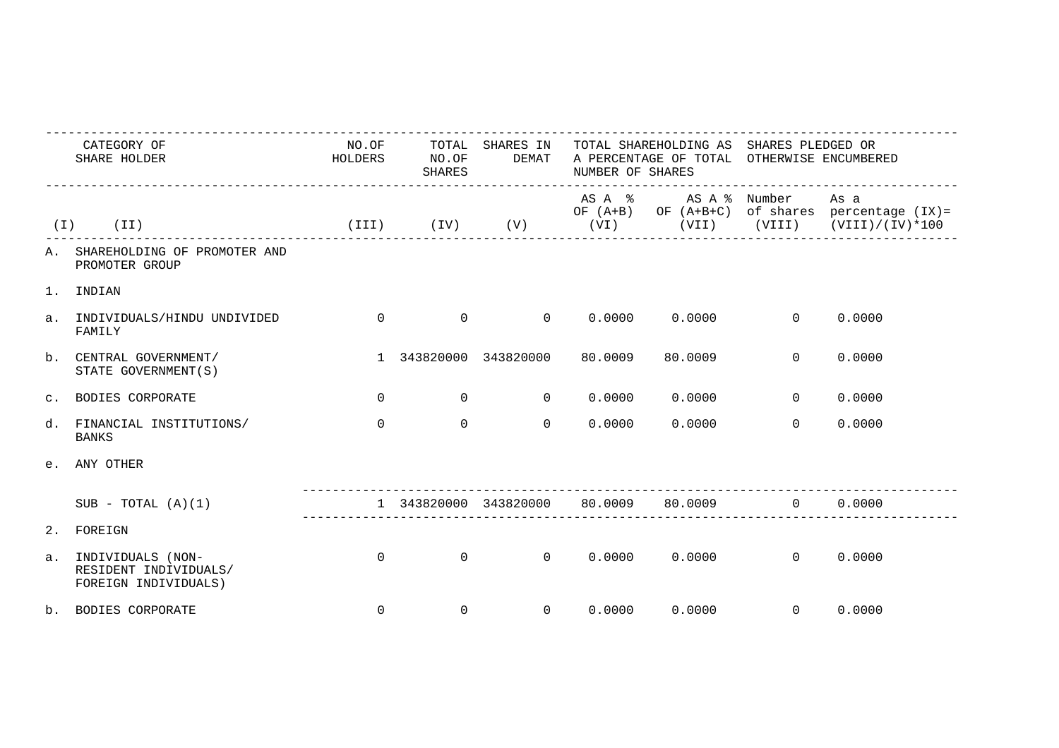|       | CATEGORY OF<br>SHARE HOLDER                                        | NO.OF<br>HOLDERS | TOTAL<br>SHARES IN<br>NO.OF<br>DEMAT<br>SHARES |                                       |        | TOTAL SHAREHOLDING AS SHARES PLEDGED OR<br>A PERCENTAGE OF TOTAL OTHERWISE ENCUMBERED<br>NUMBER OF SHARES |                |                                                                                                       |  |  |
|-------|--------------------------------------------------------------------|------------------|------------------------------------------------|---------------------------------------|--------|-----------------------------------------------------------------------------------------------------------|----------------|-------------------------------------------------------------------------------------------------------|--|--|
| ( I ) | (II)                                                               |                  |                                                | $(TII)$ $(IV)$ $(V)$ $(VI)$           |        | ASA % ASA % Number                                                                                        |                | As a<br>OF $(A+B)$ OF $(A+B+C)$ of shares percentage $(IX)$ =<br>$(VII)$ $(VIII)$ $(VIII) / (IV)*100$ |  |  |
|       | A. SHAREHOLDING OF PROMOTER AND<br>PROMOTER GROUP                  |                  |                                                |                                       |        |                                                                                                           |                |                                                                                                       |  |  |
| $1$ . | INDIAN                                                             |                  |                                                |                                       |        |                                                                                                           |                |                                                                                                       |  |  |
|       | a. INDIVIDUALS/HINDU UNDIVIDED<br>FAMILY                           | $\Omega$         |                                                | $\begin{matrix}0&0\end{matrix}$       |        | $0.0000$ $0.0000$ 0                                                                                       |                | 0.0000                                                                                                |  |  |
|       | b. CENTRAL GOVERNMENT/<br>STATE GOVERNMENT (S)                     |                  |                                                | 1 343820000 343820000 80.0009         |        | 80.0009                                                                                                   | $\Omega$       | 0.0000                                                                                                |  |  |
|       | C. BODIES CORPORATE                                                | $\Omega$         | $\overline{0}$                                 | $\overline{0}$                        | 0.0000 | 0.0000                                                                                                    | $\Omega$       | 0.0000                                                                                                |  |  |
|       | d. FINANCIAL INSTITUTIONS/<br><b>BANKS</b>                         | $\Omega$         | $\Omega$                                       | $\Omega$                              | 0.0000 | 0.0000                                                                                                    | $\Omega$       | 0.0000                                                                                                |  |  |
|       | e. ANY OTHER                                                       |                  |                                                |                                       |        |                                                                                                           |                |                                                                                                       |  |  |
|       | $SUB - TOTAL (A)(1)$                                               |                  |                                                | 1 343820000 343820000 80.0009 80.0009 |        |                                                                                                           | $\overline{0}$ | 0.0000                                                                                                |  |  |
|       | 2. FOREIGN                                                         |                  |                                                |                                       |        |                                                                                                           |                |                                                                                                       |  |  |
| a.    | INDIVIDUALS (NON-<br>RESIDENT INDIVIDUALS/<br>FOREIGN INDIVIDUALS) | $\Omega$         | $\Omega$                                       |                                       |        | $0 \t 0.0000 \t 0.0000 \t 0 \t 0.0000$                                                                    |                |                                                                                                       |  |  |
|       | b. BODIES CORPORATE                                                | $\Omega$         | $\mathsf{O}$                                   | $\Omega$                              |        | $0.0000$ $0.0000$ 0                                                                                       |                | 0.0000                                                                                                |  |  |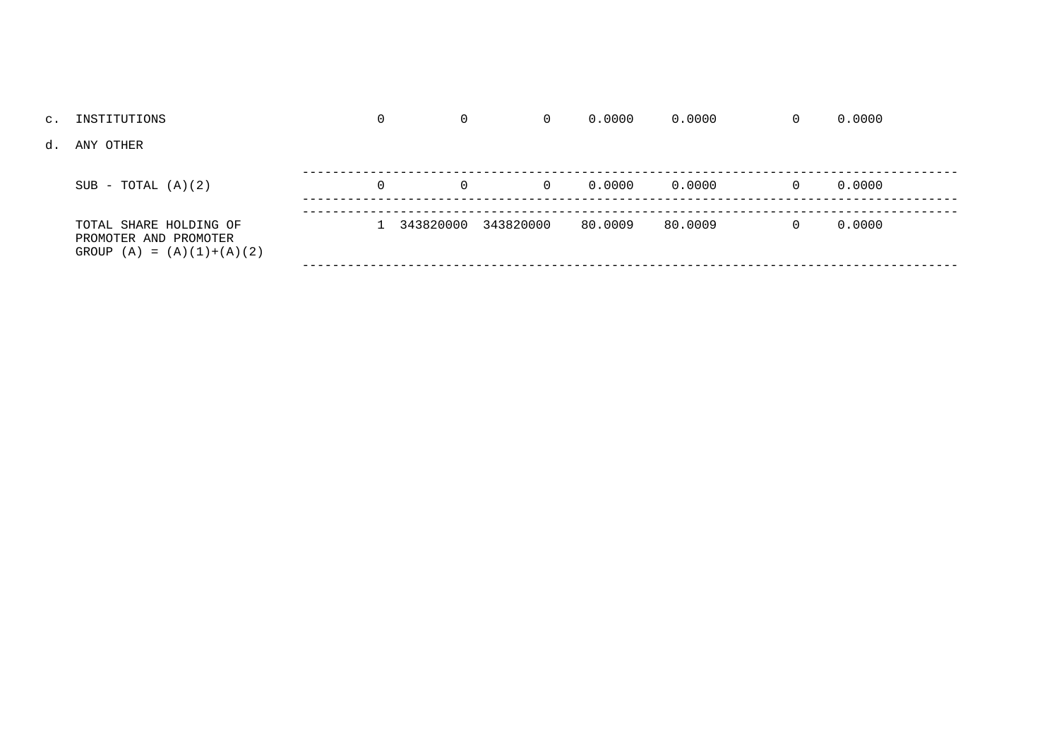| c. INSTITUTIONS                                                                | 0        | 0        | $\Omega$              | 0.0000  | 0.0000  | 0        | 0.0000 |  |
|--------------------------------------------------------------------------------|----------|----------|-----------------------|---------|---------|----------|--------|--|
| d. ANY OTHER                                                                   |          |          |                       |         |         |          |        |  |
| $SUB - TOTAL (A)(2)$                                                           | $\Omega$ | $\Omega$ | $\Omega$              | 0.0000  | 0.0000  | $\Omega$ | 0.0000 |  |
| TOTAL SHARE HOLDING OF<br>PROMOTER AND PROMOTER<br>GROUP $(A) = (A)(1)+(A)(2)$ |          |          | 1 343820000 343820000 | 80.0009 | 80.0009 | $\Omega$ | 0.0000 |  |
|                                                                                |          |          |                       |         |         |          |        |  |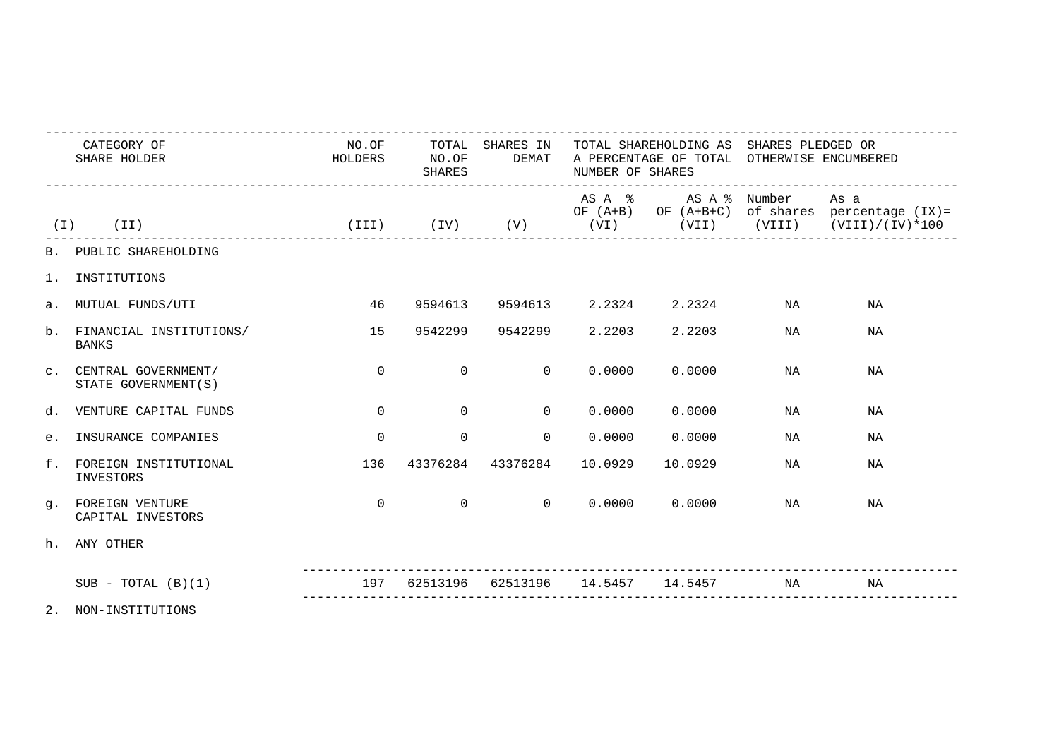|       | CATEGORY OF<br>SHARE HOLDER                    |          | HOLDERS NO.OF  | <b>SHARES</b>                     | NUMBER OF SHARES | __________________________________ |    | NO.OF TOTAL SHARES IN TOTAL SHAREHOLDING AS SHARES PLEDGED OR<br>DEMAT A PERCENTAGE OF TOTAL OTHERWISE ENCUMBERED                    |  |  |
|-------|------------------------------------------------|----------|----------------|-----------------------------------|------------------|------------------------------------|----|--------------------------------------------------------------------------------------------------------------------------------------|--|--|
|       | $(I)$ $(II)$                                   |          |                |                                   |                  | AS A % AS A % Number               |    | As a<br>OF $(A+B)$ OF $(A+B+C)$ of shares percentage $(IX)$ =<br>(III) (IV) (V) (VI) (VII) (VIII) (VIII) (VIII) (VIII) (VIII) (VIII) |  |  |
|       | B. PUBLIC SHAREHOLDING                         |          |                |                                   |                  |                                    |    |                                                                                                                                      |  |  |
|       | 1. INSTITUTIONS                                |          |                |                                   |                  |                                    |    |                                                                                                                                      |  |  |
|       | a. MUTUAL FUNDS/UTI                            | 46       |                |                                   |                  | 9594613 9594613 2.2324 2.2324      | NA | ΝA                                                                                                                                   |  |  |
|       | b. FINANCIAL INSTITUTIONS/<br><b>BANKS</b>     | 15       |                | 9542299 9542299 2.2203            |                  | 2.2203                             | NA | NA                                                                                                                                   |  |  |
|       | C. CENTRAL GOVERNMENT/<br>STATE GOVERNMENT (S) | $\Omega$ | $\Omega$       | $\overline{a}$                    | 0.0000           | 0.0000                             | NA | NA                                                                                                                                   |  |  |
|       | d. VENTURE CAPITAL FUNDS                       | $\Omega$ | $\Omega$       | $\Omega$                          |                  | 0.0000000000                       | NA | NA                                                                                                                                   |  |  |
| $e$ . | INSURANCE COMPANIES                            | $\Omega$ | $\Omega$       | $\Omega$                          | 0.0000           | 0.0000                             | NA | NA                                                                                                                                   |  |  |
|       | f. FOREIGN INSTITUTIONAL<br>INVESTORS          | 136      |                | 43376284 43376284                 | 10.0929          | 10.0929                            | NA | NA                                                                                                                                   |  |  |
|       | q. FOREIGN VENTURE<br>CAPITAL INVESTORS        | $\Omega$ | $\overline{0}$ | $\overline{0}$                    |                  | 0.0000000000                       | NA | NA                                                                                                                                   |  |  |
|       | h. ANY OTHER                                   |          |                |                                   |                  |                                    |    |                                                                                                                                      |  |  |
|       | $SUB - TOTAL (B)(1)$                           | 197      |                | 62513196 62513196 14.5457 14.5457 |                  |                                    | NA | NA                                                                                                                                   |  |  |
|       | 2. NON-INSTITUTIONS                            |          |                |                                   |                  |                                    |    |                                                                                                                                      |  |  |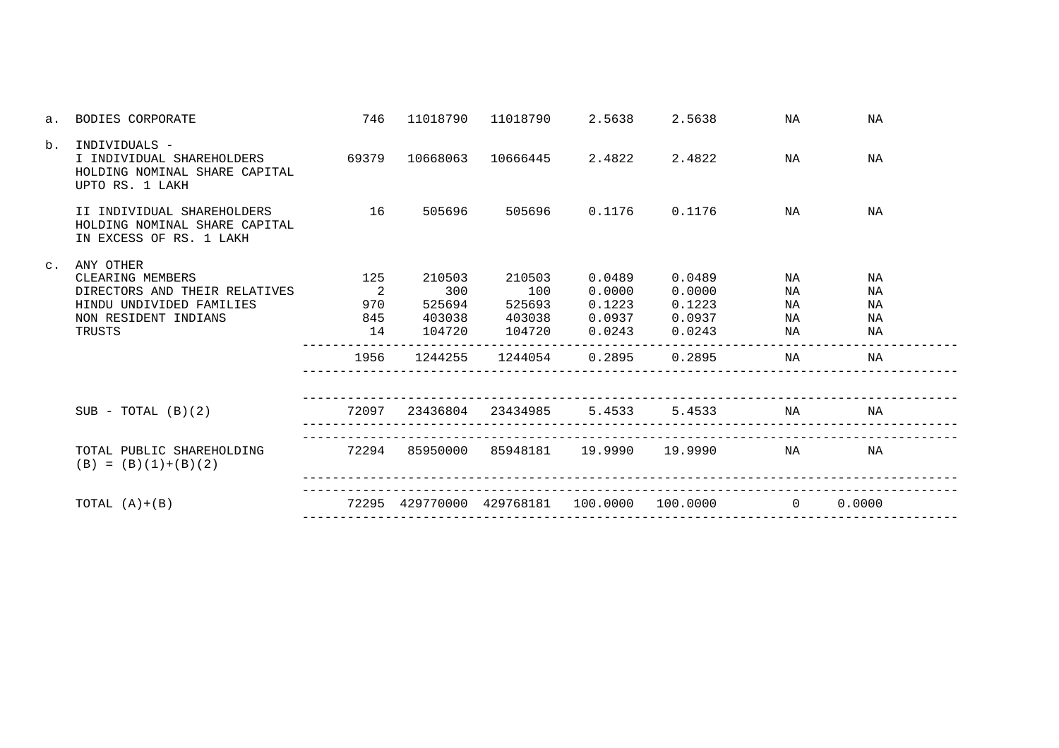| a.             | BODIES CORPORATE                                                                                                             | 746                                                         | 11018790                                     | 11018790 2.5638                             |                                                                          | 2.5638                            | ΝA                               | ΝA                               |  |
|----------------|------------------------------------------------------------------------------------------------------------------------------|-------------------------------------------------------------|----------------------------------------------|---------------------------------------------|--------------------------------------------------------------------------|-----------------------------------|----------------------------------|----------------------------------|--|
| b.             | INDIVIDUALS -<br>I INDIVIDUAL SHAREHOLDERS 69379<br>HOLDING NOMINAL SHARE CAPITAL<br>UPTO RS. 1 LAKH                         |                                                             | 10668063                                     |                                             |                                                                          |                                   | NA                               | NA                               |  |
|                | II INDIVIDUAL SHAREHOLDERS<br>HOLDING NOMINAL SHARE CAPITAL<br>IN EXCESS OF RS. 1 LAKH                                       | 16                                                          | 505696                                       |                                             |                                                                          | 505696   0.1176   0.1176          | NA                               | NA                               |  |
| $\mathsf{C}$ . | ANY OTHER<br>CLEARING MEMBERS<br>DIRECTORS AND THEIR RELATIVES<br>HINDU UNDIVIDED FAMILIES<br>NON RESIDENT INDIANS<br>TRUSTS | 125<br>$\overline{\phantom{a}}$<br>970<br>845<br>14<br>1956 | 210503<br>300<br>525694<br>104720<br>1244255 | 210503<br>100<br>525693<br>104720           | 0.0489<br>0.0000<br>0.1223<br>$0.0243$ $0.0243$<br>1244054 0.2895 0.2895 | 0.0489<br>0.0000<br>0.1223        | NA<br>NA<br>NA<br>NA<br>NA<br>ΝA | ΝA<br>ΝA<br>NA<br>NA<br>ΝA<br>ΝA |  |
|                | $SUB - TOTAL (B)(2)$                                                                                                         |                                                             |                                              | 72097 23436804 23434985 5.4533              |                                                                          |                                   | 5.4533 NA                        | NA                               |  |
|                | TOTAL PUBLIC SHAREHOLDING<br>$(B) = (B)(1)+(B)(2)$                                                                           | 72294                                                       |                                              |                                             |                                                                          | 85950000 85948181 19.9990 19.9990 | NA                               | NA                               |  |
|                | TOTAL $(A)+(B)$                                                                                                              |                                                             |                                              | 72295 429770000 429768181 100.0000 100.0000 |                                                                          |                                   | $\overline{0}$                   | 0.0000                           |  |
|                |                                                                                                                              |                                                             |                                              |                                             |                                                                          |                                   |                                  |                                  |  |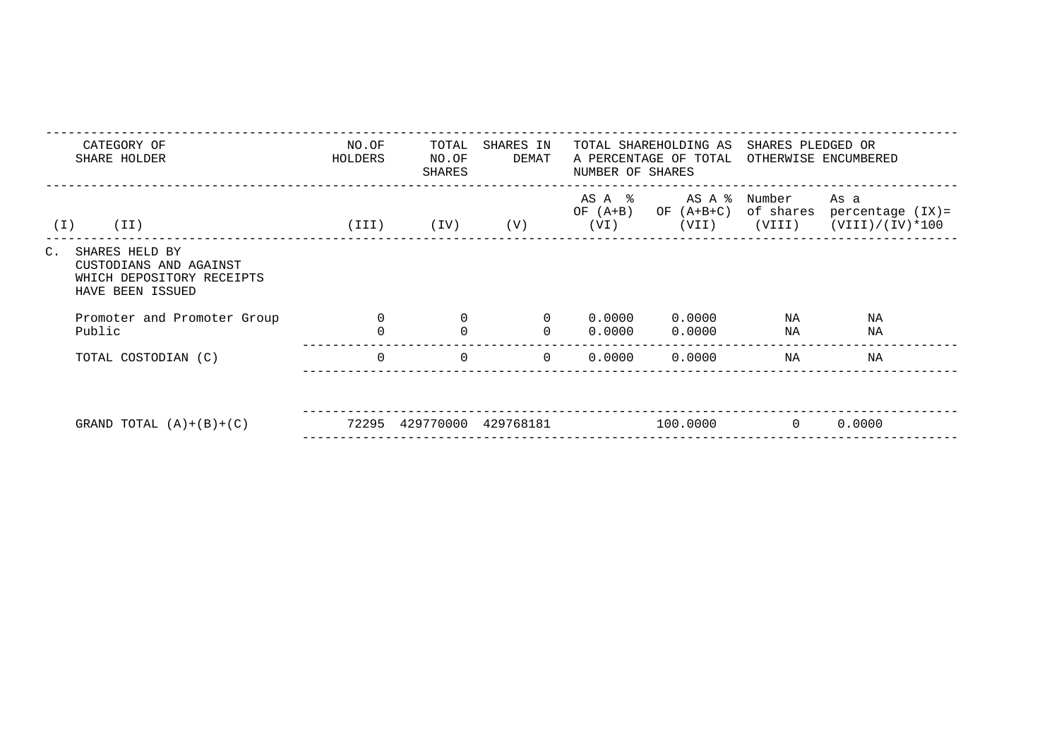| CATEGORY OF<br>SHARE HOLDER                                                                                | NO.OF<br>TOTAL<br>SHARES IN<br>DEMAT<br>HOLDERS<br>NO.OF<br>SHARES |              |           | NUMBER OF SHARES             | TOTAL SHAREHOLDING AS<br>A PERCENTAGE OF TOTAL | SHARES PLEDGED OR<br>OTHERWISE ENCUMBERED |                                                       |  |
|------------------------------------------------------------------------------------------------------------|--------------------------------------------------------------------|--------------|-----------|------------------------------|------------------------------------------------|-------------------------------------------|-------------------------------------------------------|--|
| (II)<br>( I )                                                                                              | (III)                                                              | (IV)         | (V)       | AS A %<br>OF $(A+B)$<br>(VI) | OF (A+B+C)<br>(VII)                            | AS A % Number<br>(VIII)                   | As a<br>of shares percentage (IX)=<br>(VIII)/(IV)*100 |  |
| $C_{\bullet}$<br>SHARES HELD BY<br>CUSTODIANS AND AGAINST<br>WHICH DEPOSITORY RECEIPTS<br>HAVE BEEN ISSUED |                                                                    |              |           |                              |                                                |                                           |                                                       |  |
| Promoter and Promoter Group                                                                                | $\Omega$                                                           | $\mathbf{0}$ | $\Omega$  | 0.0000                       | 0.0000                                         | NA                                        | ΝA                                                    |  |
| Public                                                                                                     | $\Omega$                                                           | $\mathbf 0$  | $\Omega$  | 0.0000                       | 0.0000                                         | ΝA                                        | ΝA                                                    |  |
| TOTAL COSTODIAN (C)                                                                                        | $\Omega$                                                           | $\mathbf{0}$ | $\Omega$  | 0.0000                       | 0.0000                                         | ΝA                                        | NA                                                    |  |
|                                                                                                            |                                                                    |              |           |                              |                                                |                                           |                                                       |  |
| GRAND TOTAL $(A)+(B)+(C)$                                                                                  | 72295                                                              | 429770000    | 429768181 |                              | 100.0000                                       | $\overline{0}$                            | 0.0000                                                |  |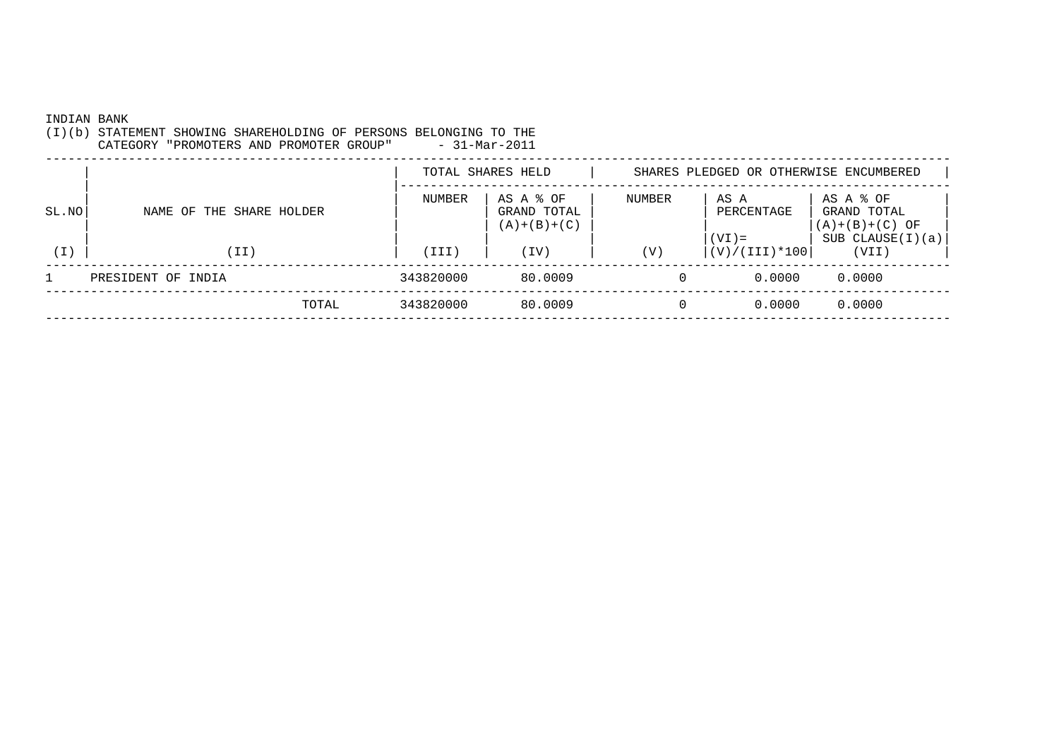INDIAN BANK

(I)(b) STATEMENT SHOWING SHAREHOLDING OF PERSONS BELONGING TO THE

 $-31-Mar-2011$ CATEGORY "PROMOTERS AND PROMOTER GROUP" \_\_\_\_\_\_\_\_\_\_\_\_\_\_\_\_\_\_\_\_ TOTAL SHARES HELD | SHARES PLEDGED OR OTHERWISE ENCUMBERED | |------------------------------------------------------------------------- | | NUMBER | AS A % OF | NUMBER | AS A | AS A % OF |SL.NO | NAME OF THE SHARE HOLDER | | | | | | GRAND TOTAL | | | | PERCENTAGE | GRAND TOTAL  $|\hspace{.6cm}(\texttt{A})+(\texttt{B})+(\texttt{C})\hspace{.6cm}|\hspace{.6cm}$  | | | | |(VI)= | SUB CLAUSE(I)(a)| (I) | (II) | (III) | (IV) | (V) |(V)/(III)\*100| (VII) |\_\_\_\_\_\_\_\_\_\_\_\_\_\_\_\_\_\_\_\_\_\_\_\_ ------------------------------------------------------------------------------------------------------------------------ 1 PRESIDENT OF INDIA 343820000 80.0009 0 0.0000 0.0000 ------------------------------------------------------------------------------------------------------------------------ TOTAL 343820000 80.0009 0 0.0000 0.0000------------------------------------------------------------------------------------------------------------------------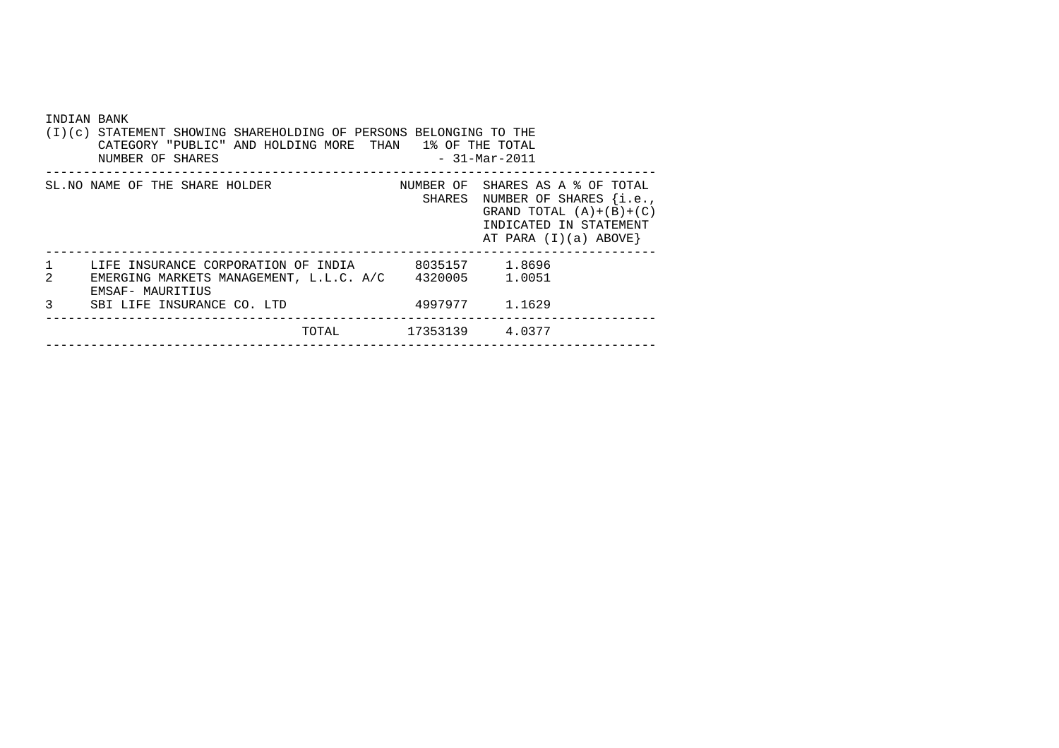|              | INDIAN BANK<br>(I)(c) STATEMENT SHOWING SHAREHOLDING OF PERSONS BELONGING TO THE<br>CATEGORY "PUBLIC" AND HOLDING MORE THAN 1% OF THE TOTAL<br>$-31-Mar-2011$<br>NUMBER OF SHARES |                 |                                                                                                                                                          |  |  |  |  |  |  |
|--------------|-----------------------------------------------------------------------------------------------------------------------------------------------------------------------------------|-----------------|----------------------------------------------------------------------------------------------------------------------------------------------------------|--|--|--|--|--|--|
|              | SL. NO NAME OF THE SHARE HOLDER                                                                                                                                                   |                 | NUMBER OF SHARES AS A % OF TOTAL<br>SHARES NUMBER OF SHARES $\{i.e.,\}$<br>GRAND TOTAL $(A)+(B)+(C)$<br>INDICATED IN STATEMENT<br>AT PARA $(I)(a)$ ABOVE |  |  |  |  |  |  |
| $\mathbf{1}$ | LIFE INSURANCE CORPORATION OF INDIA 6035157 1.8696                                                                                                                                |                 |                                                                                                                                                          |  |  |  |  |  |  |
| 2            | EMERGING MARKETS MANAGEMENT, L.L.C. A/C 4320005 1.0051<br>EMSAF- MAURITIUS                                                                                                        |                 |                                                                                                                                                          |  |  |  |  |  |  |
| 3            | SBI LIFE INSURANCE CO. LTD                                                                                                                                                        |                 | 4997977 1.1629                                                                                                                                           |  |  |  |  |  |  |
|              | TOTAL                                                                                                                                                                             | 17353139 4.0377 |                                                                                                                                                          |  |  |  |  |  |  |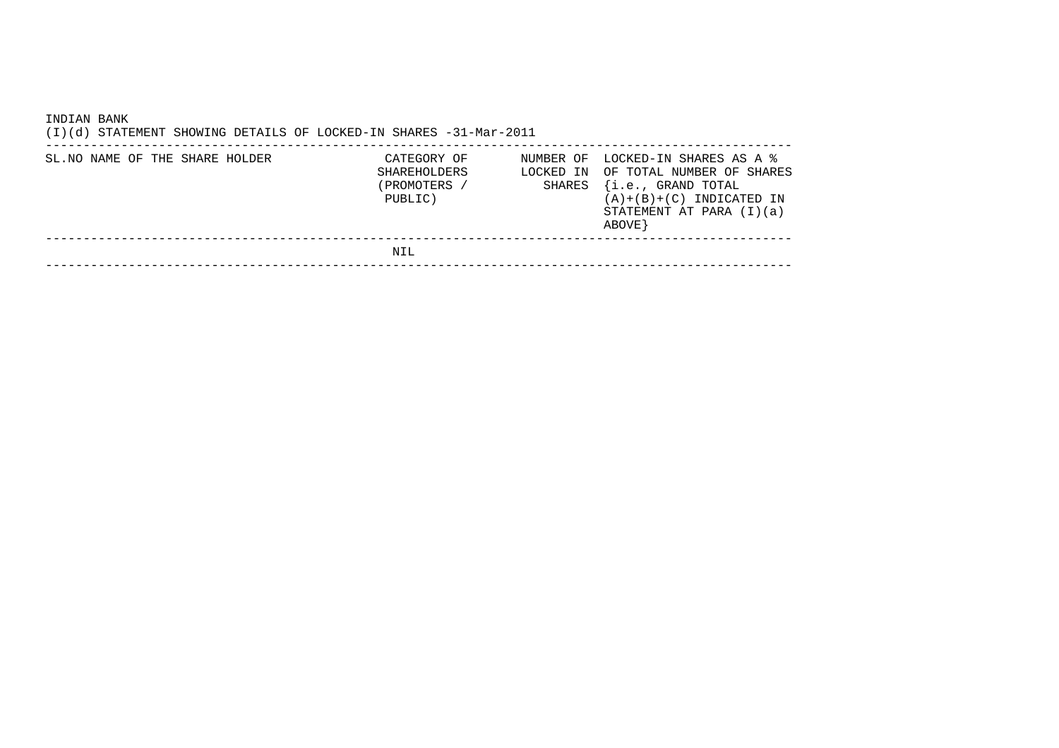| INDIAN BANK<br>(I)(d) STATEMENT SHOWING DETAILS OF LOCKED-IN SHARES -31-Mar-2011 |                                                       |                                  |                                                                                                                                                    |
|----------------------------------------------------------------------------------|-------------------------------------------------------|----------------------------------|----------------------------------------------------------------------------------------------------------------------------------------------------|
| SL. NO NAME OF THE SHARE HOLDER                                                  | CATEGORY OF<br>SHAREHOLDERS<br>PROMOTERS /<br>PUBLIC) | NUMBER OF<br>LOCKED IN<br>SHARES | LOCKED-IN SHARES AS A %<br>OF TOTAL NUMBER OF SHARES<br>$\{i.e.,$ GRAND TOTAL<br>$(A)+(B)+(C)$ INDICATED IN<br>STATEMENT AT PARA $(I)(a)$<br>ABOVE |
|                                                                                  | NIL                                                   |                                  |                                                                                                                                                    |
|                                                                                  |                                                       |                                  |                                                                                                                                                    |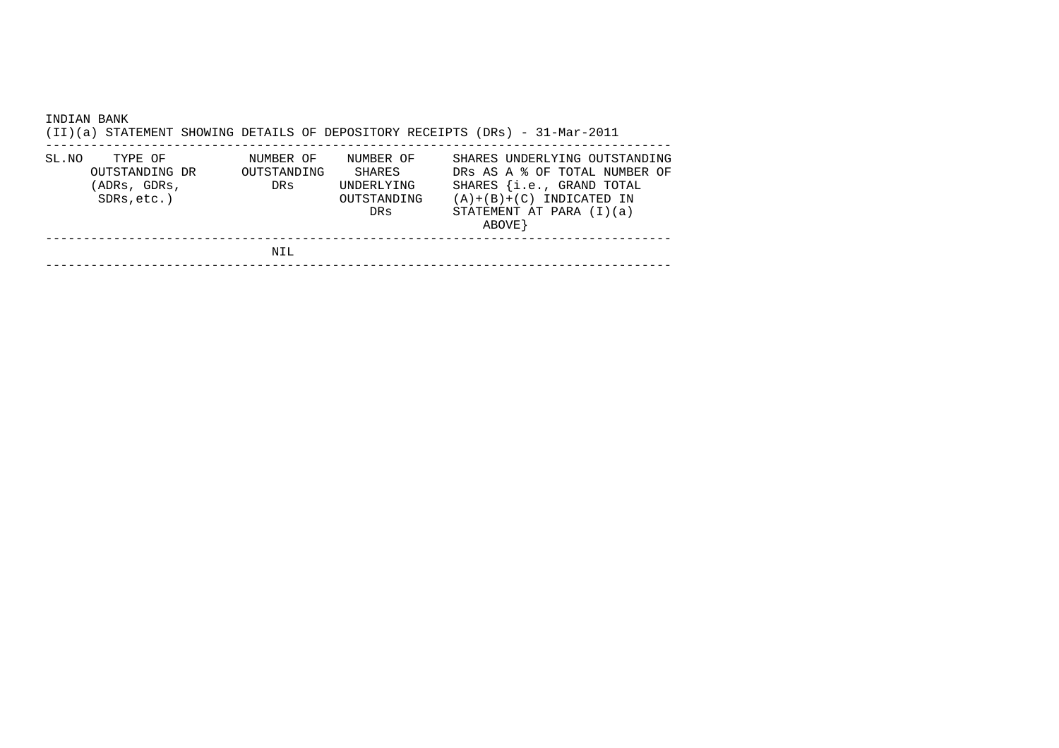| INDIAN BANK | (II)(a) STATEMENT SHOWING DETAILS OF DEPOSITORY RECEIPTS (DRs) - 31-Mar-2011 |                                 |                                                         |                                                        |         |                                                                                             |  |
|-------------|------------------------------------------------------------------------------|---------------------------------|---------------------------------------------------------|--------------------------------------------------------|---------|---------------------------------------------------------------------------------------------|--|
| SL.NO       | TYPE OF<br>OUTSTANDING DR<br>(ADRs, GDRs,<br>$SDRs, etc.$ )                  | NUMBER OF<br>OUTSTANDING<br>DRs | NUMBER OF<br>SHARES<br>UNDERLYING<br>OUTSTANDING<br>DRs | $(A)+(B)+(C)$ INDICATED IN<br>STATEMENT AT PARA (I)(a) | ABOVE } | SHARES UNDERLYING OUTSTANDING<br>DRS AS A & OF TOTAL NUMBER OF<br>SHARES {i.e., GRAND TOTAL |  |
|             |                                                                              | NIL                             |                                                         |                                                        |         |                                                                                             |  |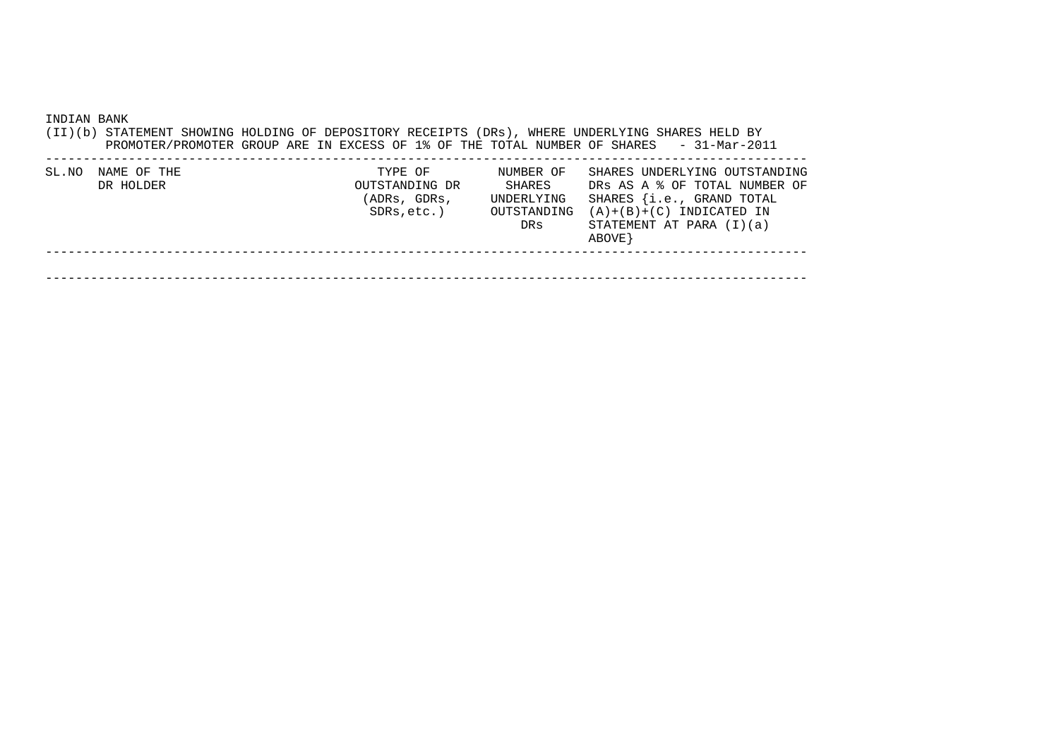| INDIAN BANK |                          |  |                                                         |                                                         | (II)(b) STATEMENT SHOWING HOLDING OF DEPOSITORY RECEIPTS (DRs), WHERE UNDERLYING SHARES HELD BY<br>PROMOTER/PROMOTER GROUP ARE IN EXCESS OF 1% OF THE TOTAL NUMBER OF SHARES - 31-Mar-2011 |  |
|-------------|--------------------------|--|---------------------------------------------------------|---------------------------------------------------------|--------------------------------------------------------------------------------------------------------------------------------------------------------------------------------------------|--|
| SL.NO       | NAME OF THE<br>DR HOLDER |  | TYPE OF<br>OUTSTANDING DR<br>(ADRs, GDRs,<br>SDRs,etc.) | NUMBER OF<br>SHARES<br>UNDERLYING<br>OUTSTANDING<br>DRs | SHARES UNDERLYING OUTSTANDING<br>DRS AS A % OF TOTAL NUMBER OF<br>SHARES {i.e., GRAND TOTAL<br>$(A)+(B)+(C)$ INDICATED IN<br>STATEMENT AT PARA (I)(a)<br>ABOVE }                           |  |
|             |                          |  |                                                         |                                                         |                                                                                                                                                                                            |  |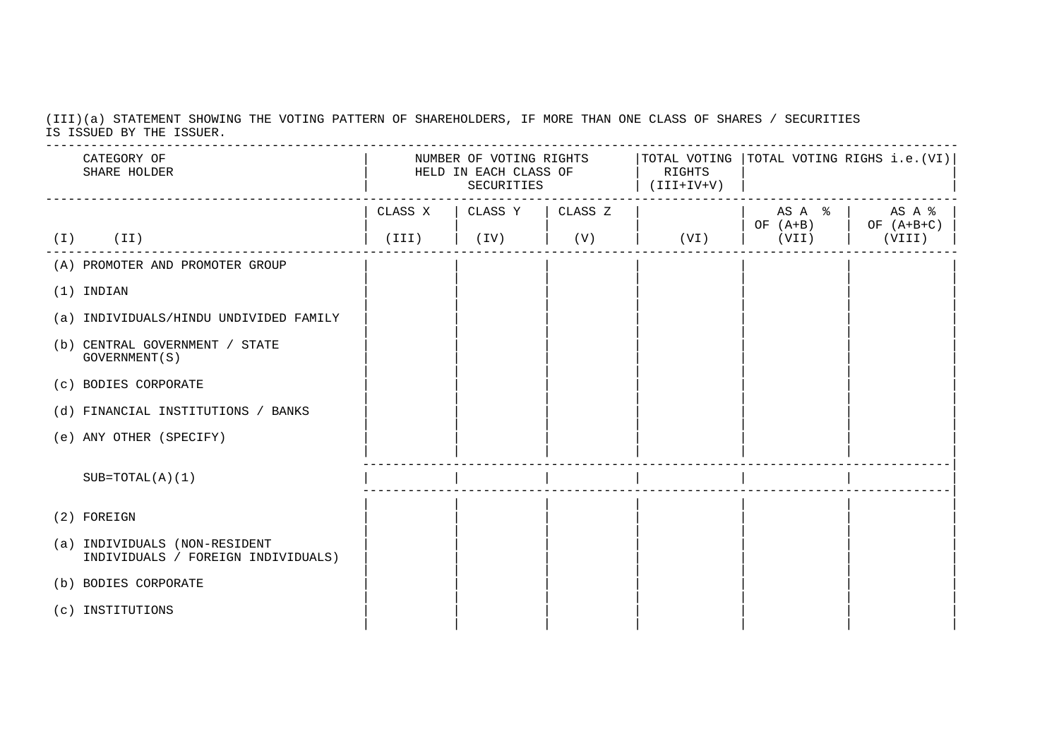(III)(a) STATEMENT SHOWING THE VOTING PATTERN OF SHAREHOLDERS, IF MORE THAN ONE CLASS OF SHARES / SECURITIESIS ISSUED BY THE ISSUER.

| CATEGORY OF<br>SHARE HOLDER                                         | NUMBER OF VOTING RIGHTS $ $ TOTAL VOTING $ $ TOTAL VOTING RIGHS i.e. (VI)<br>HELD IN EACH CLASS OF<br>SECURITIES |                   |     | RIGHTS<br>$(V+VI+III)$ |       |                       |  |
|---------------------------------------------------------------------|------------------------------------------------------------------------------------------------------------------|-------------------|-----|------------------------|-------|-----------------------|--|
|                                                                     | CLASS X                                                                                                          | CLASS Y   CLASS Z |     |                        |       | $AS A \&   AS A \&  $ |  |
| (II)<br>( I )                                                       | (III)                                                                                                            | $(\mathrm{IV})$   | (V) | (VI)                   | (VII) | (VIII)                |  |
| (A) PROMOTER AND PROMOTER GROUP                                     |                                                                                                                  |                   |     |                        |       |                       |  |
| $(1)$ INDIAN                                                        |                                                                                                                  |                   |     |                        |       |                       |  |
| (a) INDIVIDUALS/HINDU UNDIVIDED FAMILY                              |                                                                                                                  |                   |     |                        |       |                       |  |
| (b) CENTRAL GOVERNMENT / STATE<br>GOVERNMENT (S)                    |                                                                                                                  |                   |     |                        |       |                       |  |
| (c) BODIES CORPORATE                                                |                                                                                                                  |                   |     |                        |       |                       |  |
| (d) FINANCIAL INSTITUTIONS / BANKS                                  |                                                                                                                  |                   |     |                        |       |                       |  |
| (e) ANY OTHER (SPECIFY)                                             |                                                                                                                  |                   |     |                        |       |                       |  |
| $SUB=TOTAL(A)(1)$                                                   |                                                                                                                  |                   |     |                        |       |                       |  |
| (2) FOREIGN                                                         |                                                                                                                  |                   |     |                        |       |                       |  |
| (a) INDIVIDUALS (NON-RESIDENT<br>INDIVIDUALS / FOREIGN INDIVIDUALS) |                                                                                                                  |                   |     |                        |       |                       |  |
| (b) BODIES CORPORATE                                                |                                                                                                                  |                   |     |                        |       |                       |  |
| (c) INSTITUTIONS                                                    |                                                                                                                  |                   |     |                        |       |                       |  |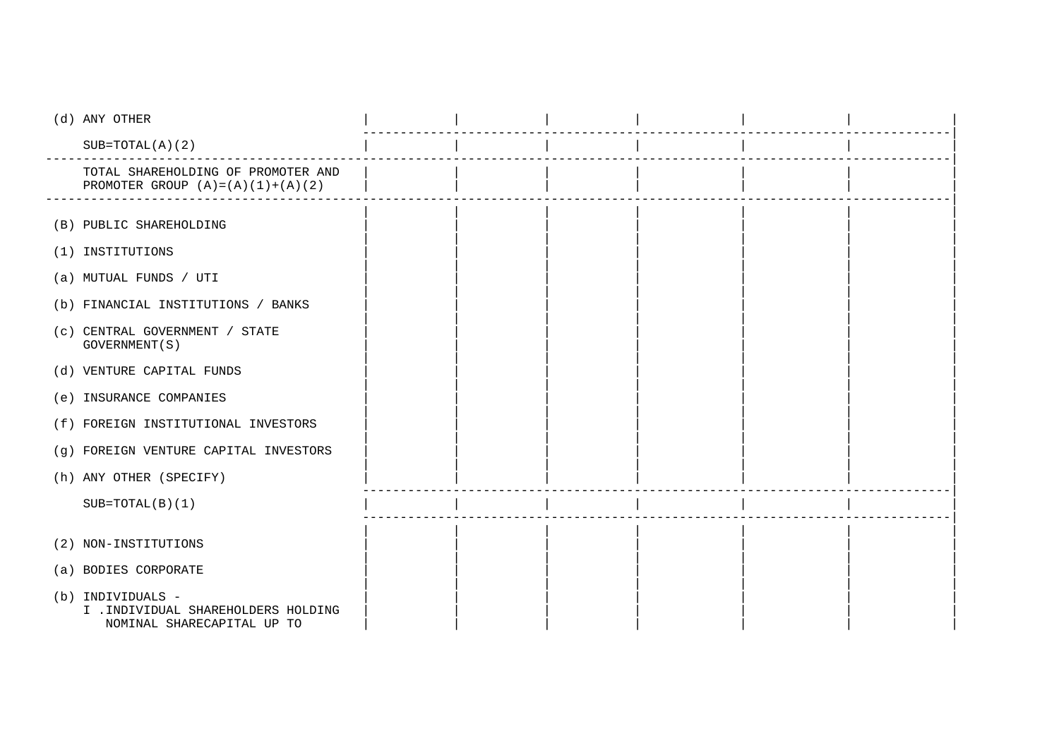| (d) ANY OTHER                                                                          |  |  |  |
|----------------------------------------------------------------------------------------|--|--|--|
| $SUB=TOTAL(A)(2)$                                                                      |  |  |  |
| TOTAL SHAREHOLDING OF PROMOTER AND<br>PROMOTER GROUP $(A) = (A) (1) + (A) (2)$         |  |  |  |
|                                                                                        |  |  |  |
| (B) PUBLIC SHAREHOLDING                                                                |  |  |  |
| (1) INSTITUTIONS                                                                       |  |  |  |
| (a) MUTUAL FUNDS / UTI                                                                 |  |  |  |
| (b) FINANCIAL INSTITUTIONS / BANKS                                                     |  |  |  |
| (c) CENTRAL GOVERNMENT / STATE<br>GOVERNMENT (S)                                       |  |  |  |
| (d) VENTURE CAPITAL FUNDS                                                              |  |  |  |
| (e) INSURANCE COMPANIES                                                                |  |  |  |
| (f) FOREIGN INSTITUTIONAL INVESTORS                                                    |  |  |  |
| (g) FOREIGN VENTURE CAPITAL INVESTORS                                                  |  |  |  |
| (h) ANY OTHER (SPECIFY)                                                                |  |  |  |
| $SUB=TOTAL(B)(1)$                                                                      |  |  |  |
|                                                                                        |  |  |  |
| (2) NON-INSTITUTIONS                                                                   |  |  |  |
| (a) BODIES CORPORATE                                                                   |  |  |  |
| (b) INDIVIDUALS -<br>I . INDIVIDUAL SHAREHOLDERS HOLDING<br>NOMINAL SHARECAPITAL UP TO |  |  |  |